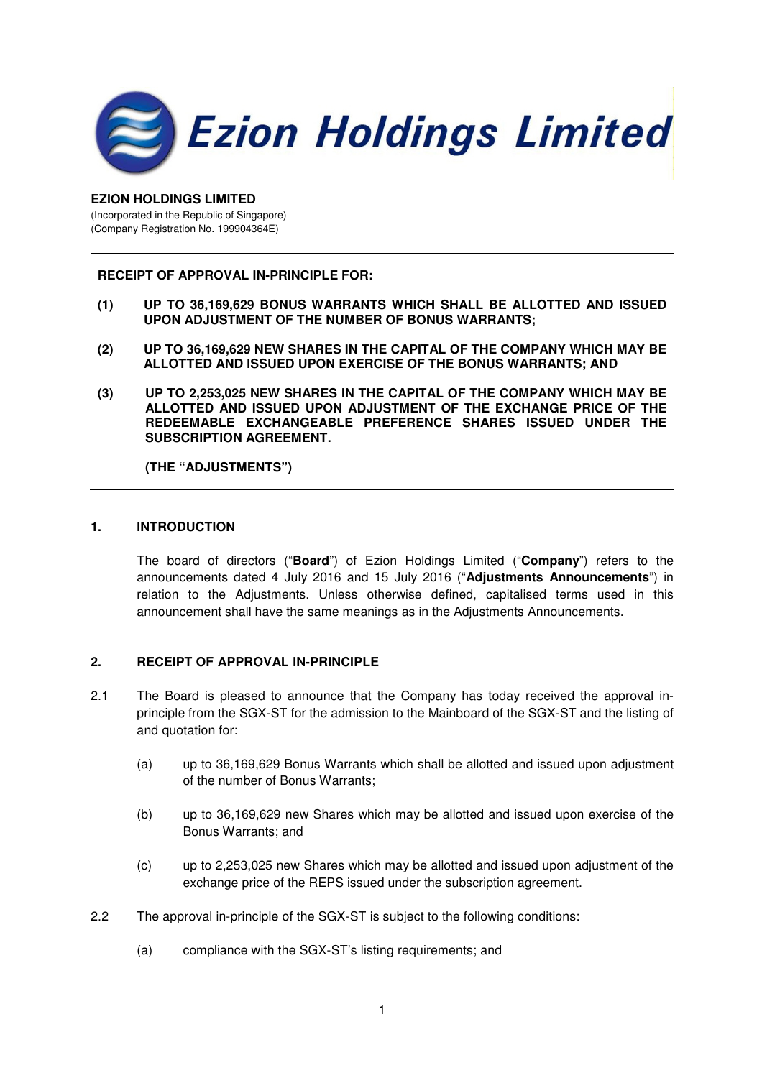

#### **EZION HOLDINGS LIMITED**  (Incorporated in the Republic of Singapore) (Company Registration No. 199904364E)

# **RECEIPT OF APPROVAL IN-PRINCIPLE FOR:**

- **(1) UP TO 36,169,629 BONUS WARRANTS WHICH SHALL BE ALLOTTED AND ISSUED UPON ADJUSTMENT OF THE NUMBER OF BONUS WARRANTS;**
- **(2) UP TO 36,169,629 NEW SHARES IN THE CAPITAL OF THE COMPANY WHICH MAY BE ALLOTTED AND ISSUED UPON EXERCISE OF THE BONUS WARRANTS; AND**
- **(3) UP TO 2,253,025 NEW SHARES IN THE CAPITAL OF THE COMPANY WHICH MAY BE ALLOTTED AND ISSUED UPON ADJUSTMENT OF THE EXCHANGE PRICE OF THE REDEEMABLE EXCHANGEABLE PREFERENCE SHARES ISSUED UNDER THE SUBSCRIPTION AGREEMENT.**

 **(THE "ADJUSTMENTS")** 

### **1. INTRODUCTION**

The board of directors ("**Board**") of Ezion Holdings Limited ("**Company**") refers to the announcements dated 4 July 2016 and 15 July 2016 ("**Adjustments Announcements**") in relation to the Adjustments. Unless otherwise defined, capitalised terms used in this announcement shall have the same meanings as in the Adjustments Announcements.

# **2. RECEIPT OF APPROVAL IN-PRINCIPLE**

- 2.1 The Board is pleased to announce that the Company has today received the approval inprinciple from the SGX-ST for the admission to the Mainboard of the SGX-ST and the listing of and quotation for:
	- (a) up to 36,169,629 Bonus Warrants which shall be allotted and issued upon adjustment of the number of Bonus Warrants;
	- (b) up to 36,169,629 new Shares which may be allotted and issued upon exercise of the Bonus Warrants; and
	- (c) up to 2,253,025 new Shares which may be allotted and issued upon adjustment of the exchange price of the REPS issued under the subscription agreement.
- 2.2 The approval in-principle of the SGX-ST is subject to the following conditions:
	- (a) compliance with the SGX-ST's listing requirements; and